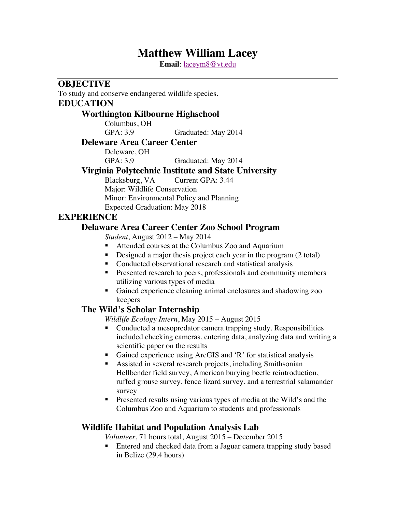# **Matthew William Lacey**

**Email**: laceym8@vt.edu

**OBJECTIVE**

To study and conserve endangered wildlife species.

## **EDUCATION**

#### **Worthington Kilbourne Highschool**

Columbus, OH GPA: 3.9 Graduated: May 2014

#### **Deleware Area Career Center**

Deleware, OH

## GPA: 3.9 Graduated: May 2014

#### **Virginia Polytechnic Institute and State University**

Blacksburg, VA Current GPA: 3.44 Major: Wildlife Conservation Minor: Environmental Policy and Planning Expected Graduation: May 2018

#### **EXPERIENCE**

#### **Delaware Area Career Center Zoo School Program**

*Student*, August 2012 – May 2014

- Attended courses at the Columbus Zoo and Aquarium
- Designed a major thesis project each year in the program (2 total)
- Conducted observational research and statistical analysis
- Presented research to peers, professionals and community members utilizing various types of media
- Gained experience cleaning animal enclosures and shadowing zoo keepers

#### **The Wild's Scholar Internship**

*Wildlife Ecology Intern*, May 2015 – August 2015

- § Conducted a mesopredator camera trapping study. Responsibilities included checking cameras, entering data, analyzing data and writing a scientific paper on the results
- Gained experience using ArcGIS and 'R' for statistical analysis
- § Assisted in several research projects, including Smithsonian Hellbender field survey, American burying beetle reintroduction, ruffed grouse survey, fence lizard survey, and a terrestrial salamander survey
- Presented results using various types of media at the Wild's and the Columbus Zoo and Aquarium to students and professionals

#### **Wildlife Habitat and Population Analysis Lab**

*Volunteer*, 71 hours total, August 2015 – December 2015

§ Entered and checked data from a Jaguar camera trapping study based in Belize (29.4 hours)